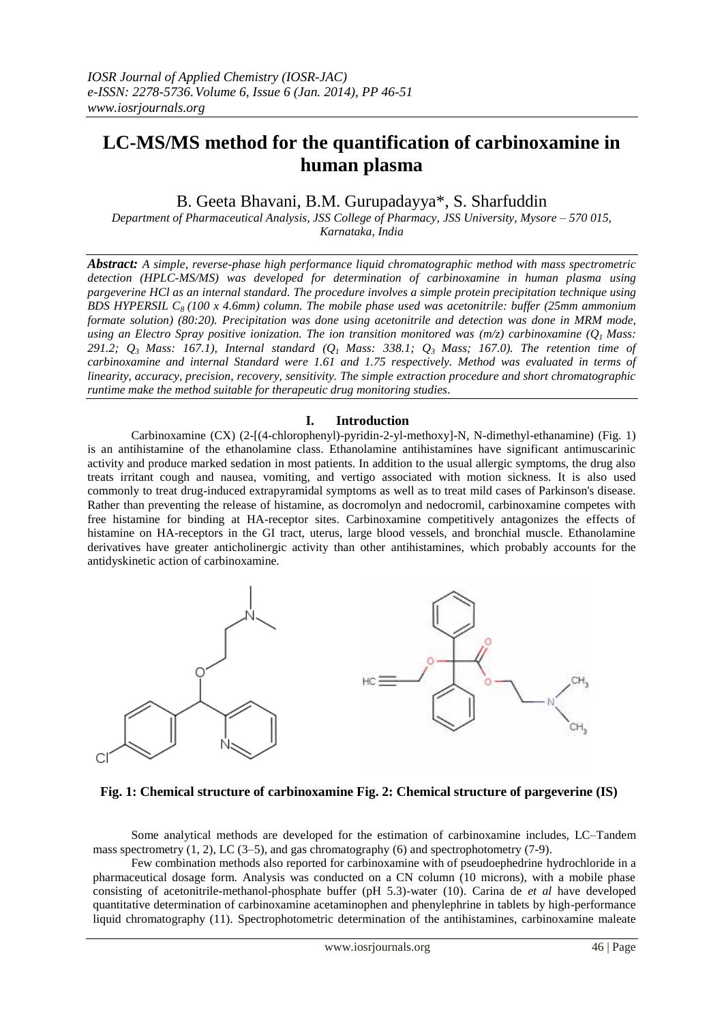# **LC-MS/MS method for the quantification of carbinoxamine in human plasma**

B. Geeta Bhavani, B.M. Gurupadayya\*, S. Sharfuddin

*Department of Pharmaceutical Analysis, JSS College of Pharmacy, JSS University, Mysore – 570 015, Karnataka, India*

*Abstract: A simple, reverse-phase high performance liquid chromatographic method with mass spectrometric detection (HPLC-MS/MS) was developed for determination of carbinoxamine in human plasma using pargeverine HCl as an internal standard. The procedure involves a simple protein precipitation technique using BDS HYPERSIL C8 (100 x 4.6mm) column. The mobile phase used was acetonitrile: buffer (25mm ammonium formate solution) (80:20). Precipitation was done using acetonitrile and detection was done in MRM mode, using an Electro Spray positive ionization. The ion transition monitored was (m/z) carbinoxamine (Q1 Mass: 291.2; Q3 Mass: 167.1), Internal standard (Q1 Mass: 338.1; Q3 Mass; 167.0). The retention time of carbinoxamine and internal Standard were 1.61 and 1.75 respectively. Method was evaluated in terms of linearity, accuracy, precision, recovery, sensitivity. The simple extraction procedure and short chromatographic runtime make the method suitable for therapeutic drug monitoring studies.*

# **I. Introduction**

Carbinoxamine (CX) (2-[(4-chlorophenyl)-pyridin-2-yl-methoxy]-N, N-dimethyl-ethanamine) (Fig. 1) is an antihistamine of the ethanolamine class. Ethanolamine antihistamines have significant antimuscarinic activity and produce marked sedation in most patients. In addition to the usual allergic symptoms, the drug also treats irritant cough and nausea, vomiting, and vertigo associated with motion sickness. It is also used commonly to treat drug-induced extrapyramidal symptoms as well as to treat mild cases of Parkinson's disease. Rather than preventing the release of histamine, as docromolyn and nedocromil, carbinoxamine competes with free histamine for binding at HA-receptor sites. Carbinoxamine competitively antagonizes the effects of histamine on HA-receptors in the GI tract, uterus, large blood vessels, and bronchial muscle. Ethanolamine derivatives have greater anticholinergic activity than other antihistamines, which probably accounts for the antidyskinetic action of carbinoxamine.



 **Fig. 1: Chemical structure of carbinoxamine Fig. 2: Chemical structure of pargeverine (IS)**

Some analytical methods are developed for the estimation of carbinoxamine includes, LC–Tandem mass spectrometry  $(1, 2)$ , LC  $(3-5)$ , and gas chromatography  $(6)$  and spectrophotometry  $(7-9)$ .

Few combination methods also reported for carbinoxamine with of pseudoephedrine hydrochloride in a pharmaceutical dosage form. Analysis was conducted on a CN column (10 microns), with a mobile phase consisting of acetonitrile-methanol-phosphate buffer (pH 5.3)-water (10). Carina de *et al* have developed quantitative determination of carbinoxamine acetaminophen and phenylephrine in tablets by high-performance liquid chromatography (11). Spectrophotometric determination of the antihistamines, carbinoxamine maleate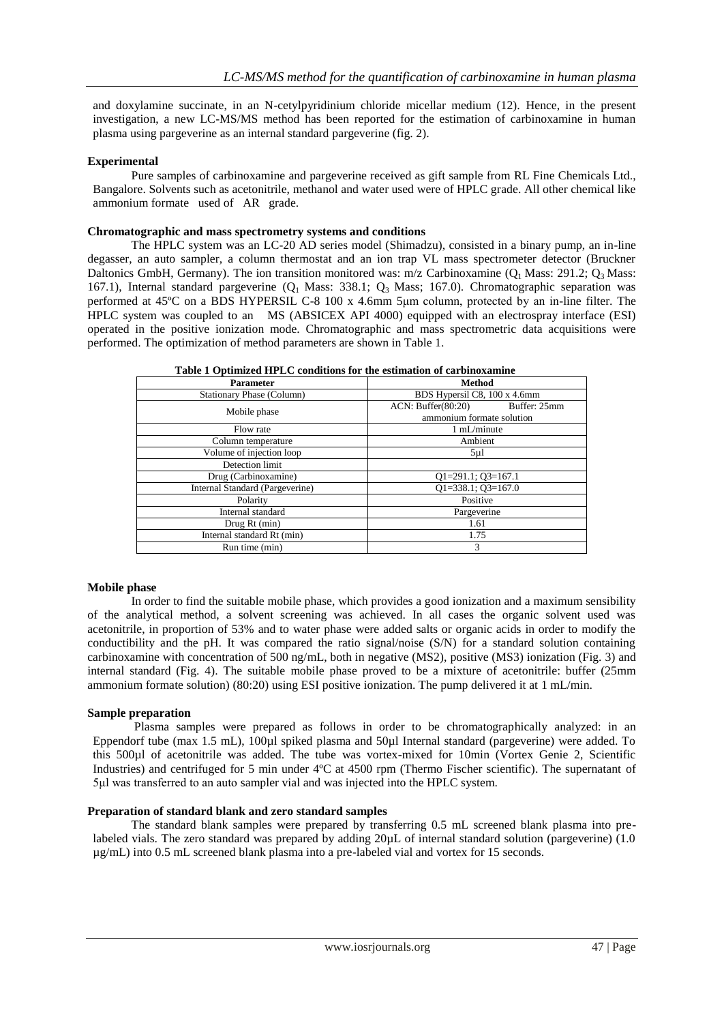and doxylamine succinate, in an N-cetylpyridinium chloride micellar medium (12). Hence, in the present investigation, a new LC-MS/MS method has been reported for the estimation of carbinoxamine in human plasma using pargeverine as an internal standard pargeverine (fig. 2).

### **Experimental**

Pure samples of carbinoxamine and pargeverine received as gift sample from RL Fine Chemicals Ltd., Bangalore. Solvents such as acetonitrile, methanol and water used were of HPLC grade. All other chemical like ammonium formate used of AR grade.

#### **Chromatographic and mass spectrometry systems and conditions**

The HPLC system was an LC-20 AD series model (Shimadzu), consisted in a binary pump, an in-line degasser, an auto sampler, a column thermostat and an ion trap VL mass spectrometer detector (Bruckner Daltonics GmbH, Germany). The ion transition monitored was:  $m/z$  Carbinoxamine (Q<sub>1</sub> Mass: 291.2; Q<sub>3</sub> Mass: 167.1), Internal standard pargeverine  $(Q_1 \text{ Mass: } 338.1; Q_3 \text{ Mass: } 167.0)$ . Chromatographic separation was performed at 45ºC on a BDS HYPERSIL C-8 100 x 4.6mm 5μm column, protected by an in-line filter. The HPLC system was coupled to an MS (ABSICEX API 4000) equipped with an electrospray interface (ESI) operated in the positive ionization mode. Chromatographic and mass spectrometric data acquisitions were performed. The optimization of method parameters are shown in Table 1.

| <b>Parameter</b>                 | <b>Method</b>                |              |  |
|----------------------------------|------------------------------|--------------|--|
| <b>Stationary Phase (Column)</b> | BDS Hypersil C8, 100 x 4.6mm |              |  |
| Mobile phase                     | ACN: Buffer(80:20)           | Buffer: 25mm |  |
|                                  | ammonium formate solution    |              |  |
| Flow rate                        | 1 mL/minute                  |              |  |
| Column temperature               | Ambient                      |              |  |
| Volume of injection loop         | $5 \mu$ l                    |              |  |
| Detection limit                  |                              |              |  |
| Drug (Carbinoxamine)             | $Q1=291.1; Q3=167.1$         |              |  |
| Internal Standard (Pargeverine)  | $Q1=338.1; Q3=167.0$         |              |  |
| Polarity                         | Positive                     |              |  |
| Internal standard                | Pargeverine                  |              |  |
| Drug Rt (min)                    | 1.61                         |              |  |
| Internal standard Rt (min)       | 1.75                         |              |  |
| Run time (min)                   | 3                            |              |  |
|                                  |                              |              |  |

**Table 1 Optimized HPLC conditions for the estimation of carbinoxamine**

### **Mobile phase**

In order to find the suitable mobile phase, which provides a good ionization and a maximum sensibility of the analytical method, a solvent screening was achieved. In all cases the organic solvent used was acetonitrile, in proportion of 53% and to water phase were added salts or organic acids in order to modify the conductibility and the pH. It was compared the ratio signal/noise (S/N) for a standard solution containing carbinoxamine with concentration of 500 ng/mL, both in negative (MS2), positive (MS3) ionization (Fig. 3) and internal standard (Fig. 4). The suitable mobile phase proved to be a mixture of acetonitrile: buffer (25mm ammonium formate solution) (80:20) using ESI positive ionization. The pump delivered it at 1 mL/min.

## **Sample preparation**

Plasma samples were prepared as follows in order to be chromatographically analyzed: in an Eppendorf tube (max 1.5 mL), 100µl spiked plasma and 50µl Internal standard (pargeverine) were added. To this 500µl of acetonitrile was added. The tube was vortex-mixed for 10min (Vortex Genie 2, Scientific Industries) and centrifuged for 5 min under 4ºC at 4500 rpm (Thermo Fischer scientific). The supernatant of 5μl was transferred to an auto sampler vial and was injected into the HPLC system.

### **Preparation of standard blank and zero standard samples**

The standard blank samples were prepared by transferring 0.5 mL screened blank plasma into prelabeled vials. The zero standard was prepared by adding 20µL of internal standard solution (pargeverine) (1.0 µg/mL) into 0.5 mL screened blank plasma into a pre-labeled vial and vortex for 15 seconds.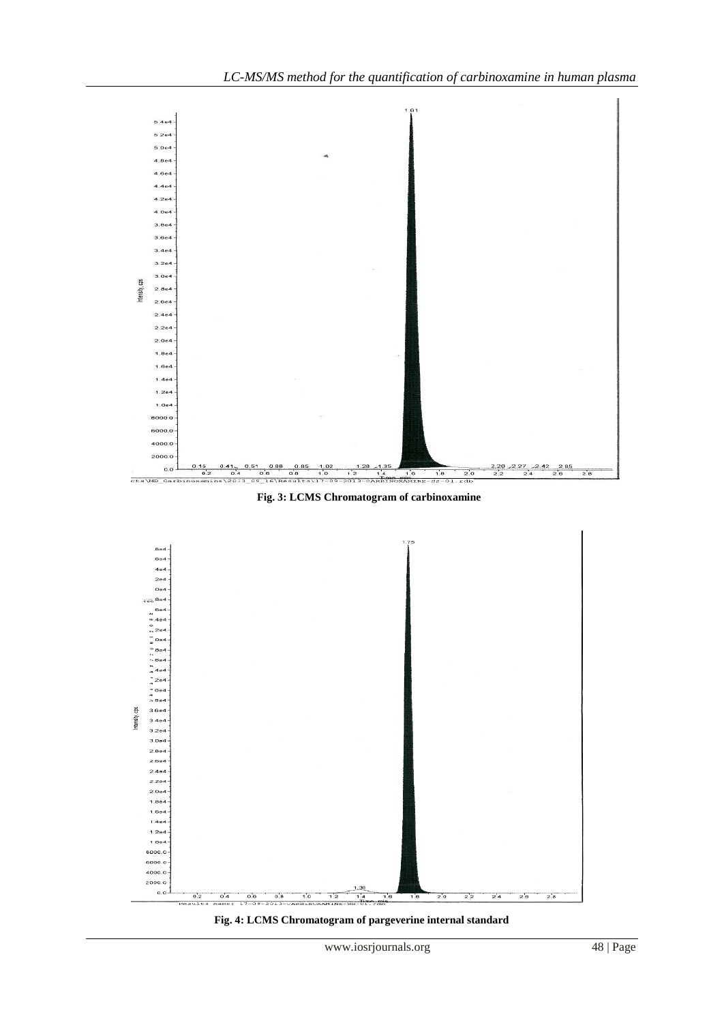

 **Fig. 3: LCMS Chromatogram of carbinoxamine**



**Fig. 4: LCMS Chromatogram of pargeverine internal standard**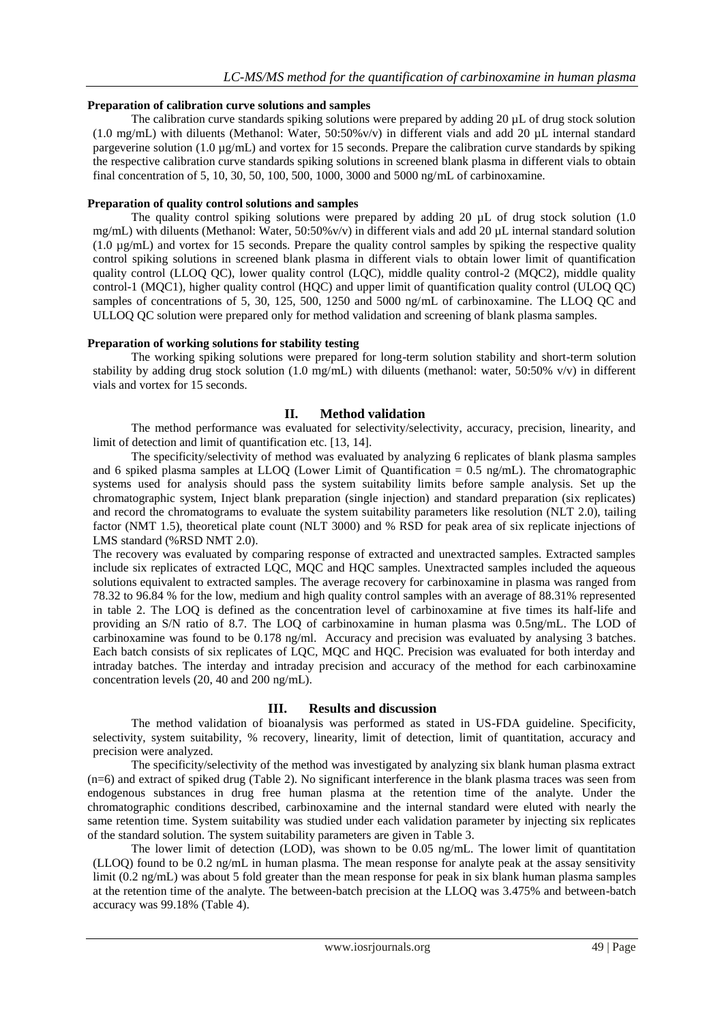# **Preparation of calibration curve solutions and samples**

The calibration curve standards spiking solutions were prepared by adding 20 µL of drug stock solution (1.0 mg/mL) with diluents (Methanol: Water, 50:50%v/v) in different vials and add 20 µL internal standard pargeverine solution (1.0 µg/mL) and vortex for 15 seconds. Prepare the calibration curve standards by spiking the respective calibration curve standards spiking solutions in screened blank plasma in different vials to obtain final concentration of 5, 10, 30, 50, 100, 500, 1000, 3000 and 5000 ng/mL of carbinoxamine.

# **Preparation of quality control solutions and samples**

The quality control spiking solutions were prepared by adding 20  $\mu$ L of drug stock solution (1.0) mg/mL) with diluents (Methanol: Water, 50:50%v/v) in different vials and add 20 µL internal standard solution (1.0 µg/mL) and vortex for 15 seconds. Prepare the quality control samples by spiking the respective quality control spiking solutions in screened blank plasma in different vials to obtain lower limit of quantification quality control (LLOQ QC), lower quality control (LQC), middle quality control-2 (MQC2), middle quality control-1 (MQC1), higher quality control (HQC) and upper limit of quantification quality control (ULOQ QC) samples of concentrations of 5, 30, 125, 500, 1250 and 5000 ng/mL of carbinoxamine. The LLOQ QC and ULLOQ QC solution were prepared only for method validation and screening of blank plasma samples.

# **Preparation of working solutions for stability testing**

The working spiking solutions were prepared for long-term solution stability and short-term solution stability by adding drug stock solution (1.0 mg/mL) with diluents (methanol: water, 50:50% v/v) in different vials and vortex for 15 seconds.

# **II. Method validation**

The method performance was evaluated for selectivity/selectivity, accuracy, precision, linearity, and limit of detection and limit of quantification etc. [13, 14].

The specificity/selectivity of method was evaluated by analyzing 6 replicates of blank plasma samples and 6 spiked plasma samples at LLOQ (Lower Limit of Quantification = 0.5 ng/mL). The chromatographic systems used for analysis should pass the system suitability limits before sample analysis. Set up the chromatographic system, Inject blank preparation (single injection) and standard preparation (six replicates) and record the chromatograms to evaluate the system suitability parameters like resolution (NLT 2.0), tailing factor (NMT 1.5), theoretical plate count (NLT 3000) and % RSD for peak area of six replicate injections of LMS standard (%RSD NMT 2.0).

The recovery was evaluated by comparing response of extracted and unextracted samples. Extracted samples include six replicates of extracted LQC, MQC and HQC samples. Unextracted samples included the aqueous solutions equivalent to extracted samples. The average recovery for carbinoxamine in plasma was ranged from 78.32 to 96.84 % for the low, medium and high quality control samples with an average of 88.31% represented in table 2. The LOQ is defined as the concentration level of carbinoxamine at five times its half-life and providing an S/N ratio of 8.7. The LOQ of carbinoxamine in human plasma was 0.5ng/mL. The LOD of carbinoxamine was found to be 0.178 ng/ml. Accuracy and precision was evaluated by analysing 3 batches. Each batch consists of six replicates of LQC, MQC and HQC. Precision was evaluated for both interday and intraday batches. The interday and intraday precision and accuracy of the method for each carbinoxamine concentration levels (20, 40 and 200 ng/mL).

# **III. Results and discussion**

The method validation of bioanalysis was performed as stated in US-FDA guideline. Specificity, selectivity, system suitability, % recovery, linearity, limit of detection, limit of quantitation, accuracy and precision were analyzed.

The specificity/selectivity of the method was investigated by analyzing six blank human plasma extract (n=6) and extract of spiked drug (Table 2). No significant interference in the blank plasma traces was seen from endogenous substances in drug free human plasma at the retention time of the analyte. Under the chromatographic conditions described, carbinoxamine and the internal standard were eluted with nearly the same retention time. System suitability was studied under each validation parameter by injecting six replicates of the standard solution. The system suitability parameters are given in Table 3.

The lower limit of detection (LOD), was shown to be 0.05 ng/mL. The lower limit of quantitation (LLOQ) found to be 0.2 ng/mL in human plasma. The mean response for analyte peak at the assay sensitivity limit (0.2 ng/mL) was about 5 fold greater than the mean response for peak in six blank human plasma samples at the retention time of the analyte. The between-batch precision at the LLOQ was 3.475% and between-batch accuracy was 99.18% (Table 4).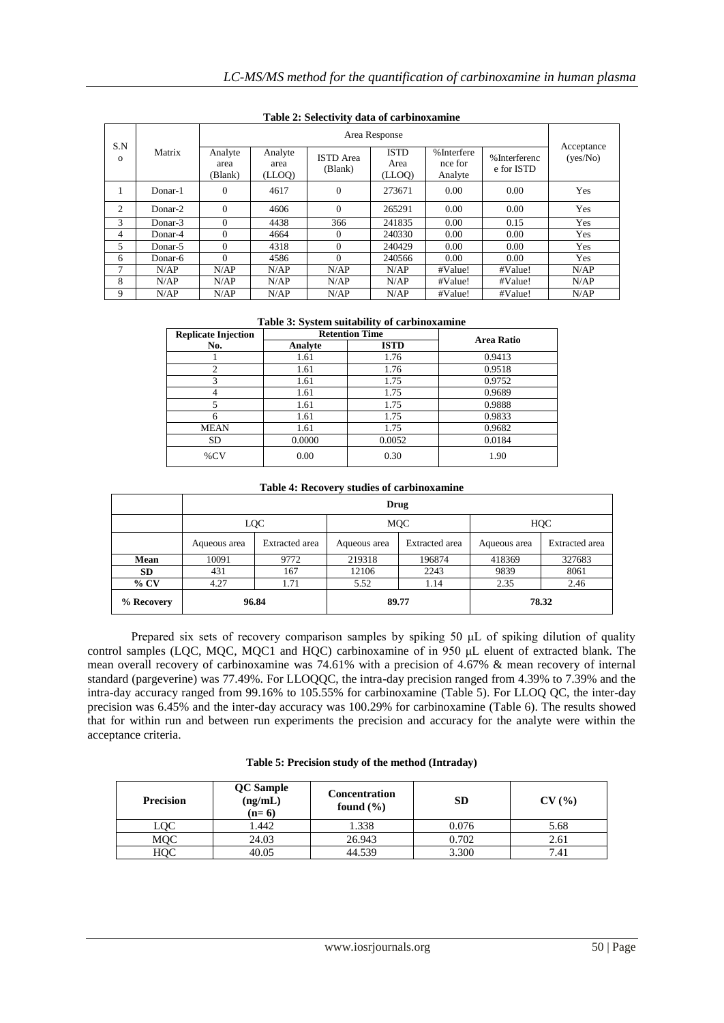|          |         | Area Response              |                           |                             |                               |                                  |                             |                        |
|----------|---------|----------------------------|---------------------------|-----------------------------|-------------------------------|----------------------------------|-----------------------------|------------------------|
| S.N<br>0 | Matrix  | Analyte<br>area<br>(Blank) | Analyte<br>area<br>(LLOQ) | <b>ISTD</b> Area<br>(Blank) | <b>ISTD</b><br>Area<br>(LLOO) | %Interfere<br>nce for<br>Analyte | % Interferenc<br>e for ISTD | Acceptance<br>(yes/No) |
| 1        | Donar-1 | $\theta$                   | 4617                      | $\overline{0}$              | 273671                        | 0.00                             | 0.00                        | Yes                    |
| 2        | Donar-2 | $\Omega$                   | 4606                      | $\overline{0}$              | 265291                        | 0.00                             | 0.00                        | Yes                    |
| 3        | Donar-3 | $\Omega$                   | 4438                      | 366                         | 241835                        | 0.00                             | 0.15                        | Yes                    |
| 4        | Donar-4 | $\Omega$                   | 4664                      | $\theta$                    | 240330                        | 0.00                             | 0.00                        | Yes                    |
| 5        | Donar-5 | $\Omega$                   | 4318                      | $\Omega$                    | 240429                        | 0.00                             | 0.00                        | Yes                    |
| 6        | Donar-6 | $\Omega$                   | 4586                      | $\Omega$                    | 240566                        | 0.00                             | 0.00                        | Yes                    |
| $\tau$   | N/AP    | N/AP                       | N/AP                      | N/AP                        | N/AP                          | #Value!                          | #Value!                     | N/AP                   |
| 8        | N/AP    | N/AP                       | N/AP                      | N/AP                        | N/AP                          | #Value!                          | #Value!                     | N/AP                   |
| 9        | N/AP    | N/AP                       | N/AP                      | N/AP                        | N/AP                          | #Value!                          | #Value!                     | N/AP                   |

**Table 2: Selectivity data of carbinoxamine**

### **Table 3: System suitability of carbinoxamine**

| <b>Replicate Injection</b> |         | <b>Retention Time</b> | <b>Area Ratio</b> |  |
|----------------------------|---------|-----------------------|-------------------|--|
| No.                        | Analyte | <b>ISTD</b>           |                   |  |
|                            | 1.61    | 1.76                  | 0.9413            |  |
|                            | 1.61    | 1.76                  | 0.9518            |  |
| 3                          | 1.61    | 1.75                  | 0.9752            |  |
|                            | 1.61    | 1.75                  | 0.9689            |  |
| 5                          | 1.61    | 1.75                  | 0.9888            |  |
| 6                          | 1.61    | 1.75                  | 0.9833            |  |
| <b>MEAN</b>                | 1.61    | 1.75                  | 0.9682            |  |
| SD.                        | 0.0000  | 0.0052                | 0.0184            |  |
| $\%CV$                     | 0.00    | 0.30                  | 1.90              |  |

#### **Table 4: Recovery studies of carbinoxamine**

|            | Drug         |                |                                |        |              |                |  |
|------------|--------------|----------------|--------------------------------|--------|--------------|----------------|--|
|            | LQC          |                | <b>MQC</b>                     |        | HQC          |                |  |
|            | Aqueous area | Extracted area | Extracted area<br>Aqueous area |        | Aqueous area | Extracted area |  |
| Mean       | 10091        | 9772           | 219318                         | 196874 | 418369       | 327683         |  |
| <b>SD</b>  | 431          | 167            | 12106                          | 2243   | 9839         | 8061           |  |
| $%$ CV     | 4.27         | 1.71           | 5.52                           | 1.14   | 2.35         | 2.46           |  |
| % Recovery |              | 96.84          |                                | 89.77  |              | 78.32          |  |

Prepared six sets of recovery comparison samples by spiking 50 μL of spiking dilution of quality control samples (LQC, MQC, MQC1 and HQC) carbinoxamine of in 950 μL eluent of extracted blank. The mean overall recovery of carbinoxamine was 74.61% with a precision of 4.67% & mean recovery of internal standard (pargeverine) was 77.49%. For LLOQQC, the intra-day precision ranged from 4.39% to 7.39% and the intra-day accuracy ranged from 99.16% to 105.55% for carbinoxamine (Table 5). For LLOQ QC, the inter-day precision was 6.45% and the inter-day accuracy was 100.29% for carbinoxamine (Table 6). The results showed that for within run and between run experiments the precision and accuracy for the analyte were within the acceptance criteria.

|  |  |  | Table 5: Precision study of the method (Intraday) |
|--|--|--|---------------------------------------------------|
|--|--|--|---------------------------------------------------|

| <b>Precision</b> | <b>QC</b> Sample<br>(ng/mL)<br>$(n=6)$ | <b>Concentration</b><br>found $(\% )$ | <b>SD</b> | CV(%) |
|------------------|----------------------------------------|---------------------------------------|-----------|-------|
| LQC              | .442                                   | 1.338                                 | 0.076     | 5.68  |
| MQC              | 24.03                                  | 26.943                                | 0.702     | 2.61  |
| нос              | 40.05                                  | 44.539                                | 3.300     | 7.41  |